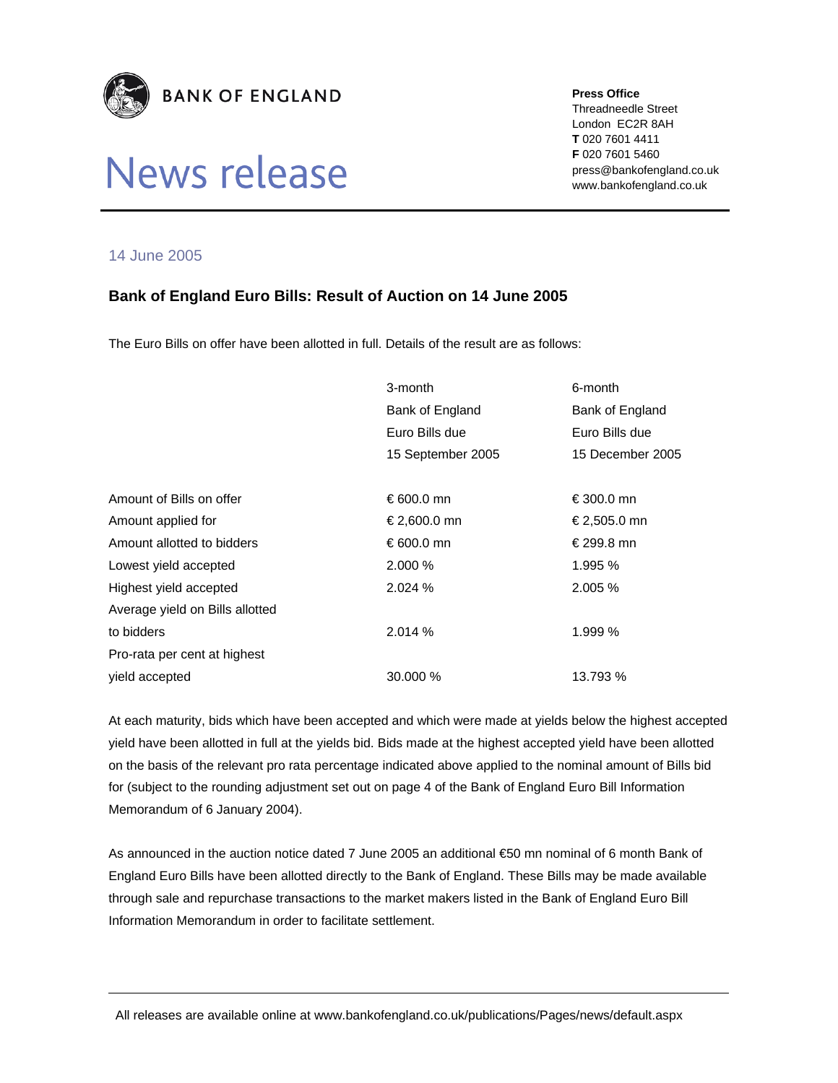

# News release

#### **Press Office**

Threadneedle Street London EC2R 8AH **T** 020 7601 4411 **F** 020 7601 5460 press@bankofengland.co.uk www.bankofengland.co.uk

### 14 June 2005

## **Bank of England Euro Bills: Result of Auction on 14 June 2005**

The Euro Bills on offer have been allotted in full. Details of the result are as follows:

|                                 | 3-month           | 6-month          |
|---------------------------------|-------------------|------------------|
|                                 | Bank of England   | Bank of England  |
|                                 | Euro Bills due    | Euro Bills due   |
|                                 | 15 September 2005 | 15 December 2005 |
|                                 |                   |                  |
| Amount of Bills on offer        | €600.0 mn         | €300.0 mn        |
| Amount applied for              | € 2,600.0 mn      | €2,505.0 mn      |
| Amount allotted to bidders      | €600.0 mn         | € 299.8 mn       |
| Lowest yield accepted           | 2.000%            | 1.995 %          |
| Highest yield accepted          | 2.024%            | $2.005\%$        |
| Average yield on Bills allotted |                   |                  |
| to bidders                      | 2.014%            | 1.999 %          |
| Pro-rata per cent at highest    |                   |                  |
| vield accepted                  | 30,000 %          | 13.793 %         |

At each maturity, bids which have been accepted and which were made at yields below the highest accepted yield have been allotted in full at the yields bid. Bids made at the highest accepted yield have been allotted on the basis of the relevant pro rata percentage indicated above applied to the nominal amount of Bills bid for (subject to the rounding adjustment set out on page 4 of the Bank of England Euro Bill Information Memorandum of 6 January 2004).

As announced in the auction notice dated 7 June 2005 an additional €50 mn nominal of 6 month Bank of England Euro Bills have been allotted directly to the Bank of England. These Bills may be made available through sale and repurchase transactions to the market makers listed in the Bank of England Euro Bill Information Memorandum in order to facilitate settlement.

All releases are available online at www.bankofengland.co.uk/publications/Pages/news/default.aspx